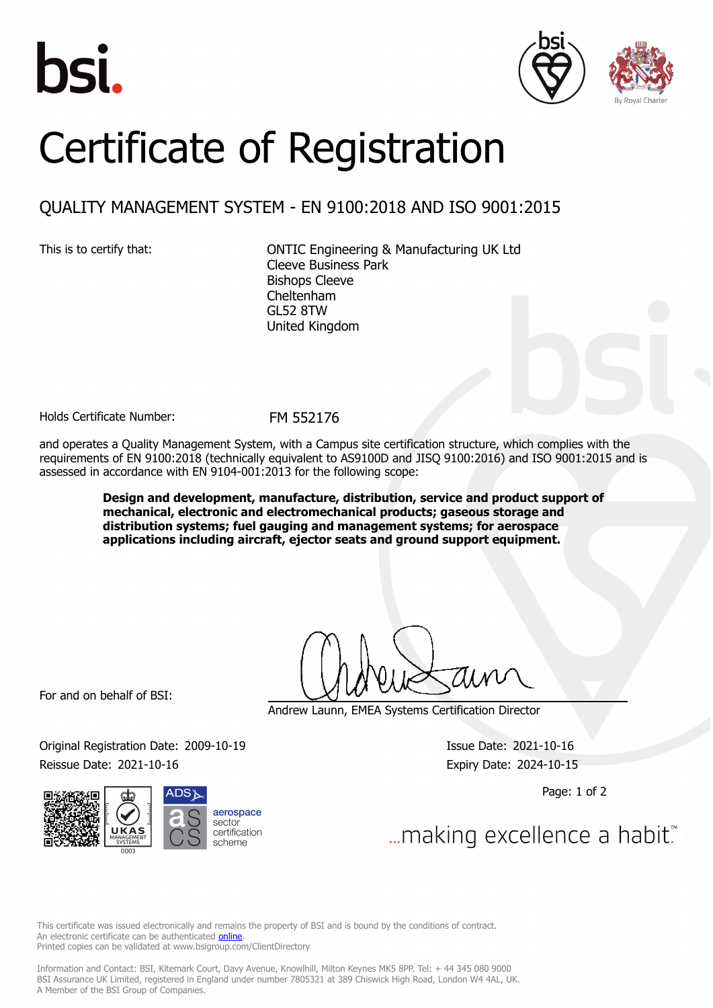





## Certificate of Registration

## QUALITY MANAGEMENT SYSTEM - EN 9100:2018 AND ISO 9001:2015

This is to certify that: ONTIC Engineering & Manufacturing UK Ltd Cleeve Business Park Bishops Cleeve Cheltenham GL52 8TW United Kingdom

Holds Certificate Number: FM 552176

and operates a Quality Management System, with a Campus site certification structure, which complies with the requirements of EN 9100:2018 (technically equivalent to AS9100D and JISQ 9100:2016) and ISO 9001:2015 and is assessed in accordance with EN 9104-001:2013 for the following scope:

> **Design and development, manufacture, distribution, service and product support of mechanical, electronic and electromechanical products; gaseous storage and distribution systems; fuel gauging and management systems; for aerospace applications including aircraft, ejector seats and ground support equipment.**

For and on behalf of BSI:

Andrew Launn, EMEA Systems Certification Director

Original Registration Date: 2009-10-19 Issue Date: 2021-10-16 Reissue Date: 2021-10-16 **Expiry Date: 2024-10-15** 



Page: 1 of 2

... making excellence a habit.

This certificate was issued electronically and remains the property of BSI and is bound by the conditions of contract. An electronic certificate can be authenticated **[online](https://pgplus.bsigroup.com/CertificateValidation/CertificateValidator.aspx?CertificateNumber=FM+552176&ReIssueDate=16%2f10%2f2021&Template=uk)**. Printed copies can be validated at www.bsigroup.com/ClientDirectory

Information and Contact: BSI, Kitemark Court, Davy Avenue, Knowlhill, Milton Keynes MK5 8PP. Tel: + 44 345 080 9000 BSI Assurance UK Limited, registered in England under number 7805321 at 389 Chiswick High Road, London W4 4AL, UK. A Member of the BSI Group of Companies.